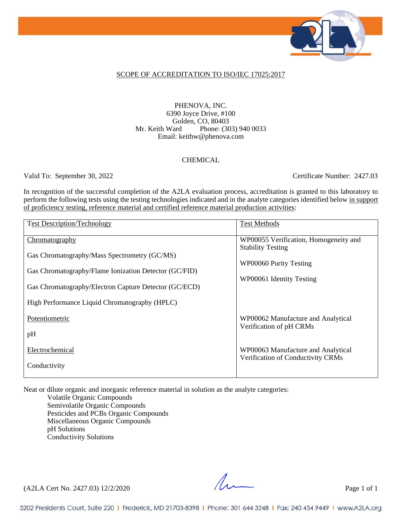

### SCOPE OF ACCREDITATION TO ISO/IEC 17025:2017

#### PHENOVA, INC. 6390 Joyce Drive, #100 Golden, CO, 80403 Mr. Keith Ward Phone: (303) 940 0033 Email: keithw@phenova.com

### **CHEMICAL**

Valid To: September 30, 2022 Certificate Number: 2427.03

In recognition of the successful completion of the A2LA evaluation process, accreditation is granted to this laboratory to perform the following tests using the testing technologies indicated and in the analyte categories identified below in support of proficiency testing, reference material and certified reference material production activities:

| <b>Test Description/Technology</b>                    | <b>Test Methods</b>                   |
|-------------------------------------------------------|---------------------------------------|
| Chromatography                                        | WP00055 Verification, Homogeneity and |
| Gas Chromatography/Mass Spectrometry (GC/MS)          | <b>Stability Testing</b>              |
| Gas Chromatography/Flame Ionization Detector (GC/FID) | WP00060 Purity Testing                |
|                                                       | WP00061 Identity Testing              |
| Gas Chromatography/Electron Capture Detector (GC/ECD) |                                       |
| High Performance Liquid Chromatography (HPLC)         |                                       |
| Potentiometric                                        | WP00062 Manufacture and Analytical    |
| pH                                                    | Verification of pH CRMs               |
| Electrochemical                                       | WP00063 Manufacture and Analytical    |
| Conductivity                                          | Verification of Conductivity CRMs     |

Neat or dilute organic and inorganic reference material in solution as the analyte categories:

Volatile Organic Compounds Semivolatile Organic Compounds Pesticides and PCBs Organic Compounds Miscellaneous Organic Compounds pH Solutions Conductivity Solutions

 $(A2LA$  Cert No. 2427.03) 12/2/2020 Page 1 of 1